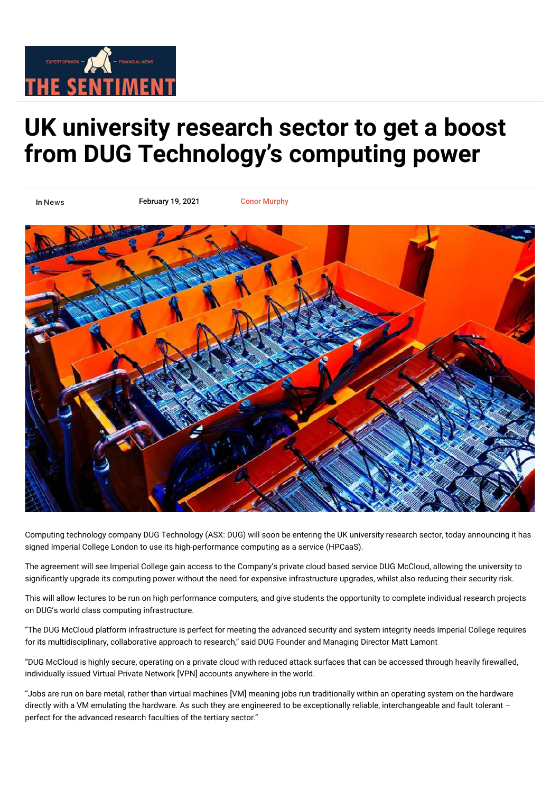

## **UK university research sector to get a boost [from DUG Technology's computing power](https://www.thesentiment.com.au/uk-university-research-sector-to-get-a-boost-from-dug-technologys-computing-power/)**

In [News](https://www.thesentiment.com.au/category/news/)

February 19, 2021 [Conor Murphy](https://www.thesentiment.com.au/author/conortest/)



[Computing technology company DUG Technology \(ASX: DUG\) will soon be entering the UK university research sector, today announcing it has](https://www.thesentiment.com.au/wp-content/uploads/2021/02/20210219-dug-1024x536.jpg) signed Imperial College London to use its high-performance computing as a service (HPCaaS).

The agreement will see Imperial College gain access to the Company's private cloud based service DUG McCloud, allowing the university to significantly upgrade its computing power without the need for expensive infrastructure upgrades, whilst also reducing their security risk.

This will allow lectures to be run on high performance computers, and give students the opportunity to complete individual research projects on DUG's world class computing infrastructure.

"The DUG McCloud platform infrastructure is perfect for meeting the advanced security and system integrity needs Imperial College requires for its multidisciplinary, collaborative approach to research," said DUG Founder and Managing Director Matt Lamont

"DUG McCloud is highly secure, operating on a private cloud with reduced attack surfaces that can be accessed through heavily firewalled, individually issued Virtual Private Network [VPN] accounts anywhere in the world.

"Jobs are run on bare metal, rather than virtual machines [VM] meaning jobs run traditionally within an operating system on the hardware directly with a VM emulating the hardware. As such they are engineered to be exceptionally reliable, interchangeable and fault tolerant – perfect for the advanced research faculties of the tertiary sector."